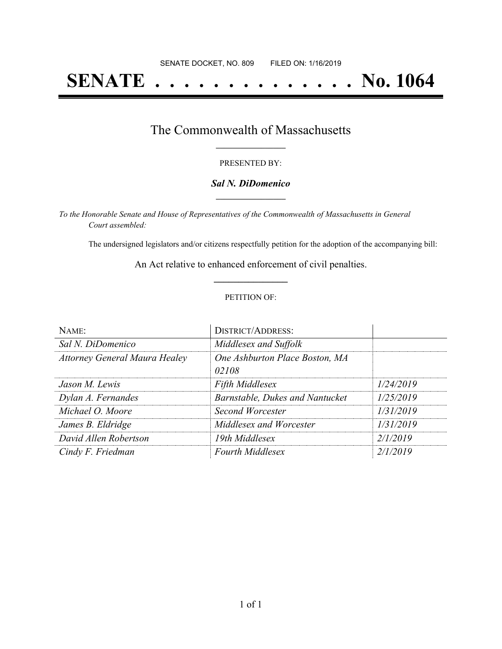# **SENATE . . . . . . . . . . . . . . No. 1064**

### The Commonwealth of Massachusetts **\_\_\_\_\_\_\_\_\_\_\_\_\_\_\_\_\_**

#### PRESENTED BY:

#### *Sal N. DiDomenico* **\_\_\_\_\_\_\_\_\_\_\_\_\_\_\_\_\_**

*To the Honorable Senate and House of Representatives of the Commonwealth of Massachusetts in General Court assembled:*

The undersigned legislators and/or citizens respectfully petition for the adoption of the accompanying bill:

An Act relative to enhanced enforcement of civil penalties. **\_\_\_\_\_\_\_\_\_\_\_\_\_\_\_**

#### PETITION OF:

| NAME:                                | <b>DISTRICT/ADDRESS:</b>                |           |
|--------------------------------------|-----------------------------------------|-----------|
| Sal N. DiDomenico                    | Middlesex and Suffolk                   |           |
| <b>Attorney General Maura Healey</b> | One Ashburton Place Boston, MA<br>02108 |           |
| Jason M. Lewis                       | <b>Fifth Middlesex</b>                  | 1/24/2019 |
| Dylan A. Fernandes                   | <b>Barnstable, Dukes and Nantucket</b>  | 1/25/2019 |
| Michael O. Moore                     | <b>Second Worcester</b>                 | 1/31/2019 |
| James B. Eldridge                    | Middlesex and Worcester                 | 1/31/2019 |
| David Allen Robertson                | 19th Middlesex                          | 2/1/2019  |
| Cindy F. Friedman                    | <b>Fourth Middlesex</b>                 | 2/1/2019  |